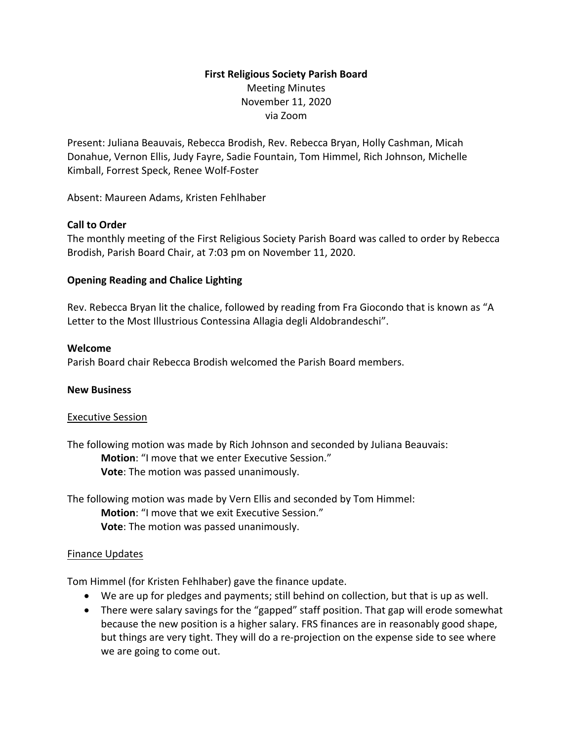# **First Religious Society Parish Board** Meeting Minutes November 11, 2020 via Zoom

Present: Juliana Beauvais, Rebecca Brodish, Rev. Rebecca Bryan, Holly Cashman, Micah Donahue, Vernon Ellis, Judy Fayre, Sadie Fountain, Tom Himmel, Rich Johnson, Michelle Kimball, Forrest Speck, Renee Wolf-Foster

Absent: Maureen Adams, Kristen Fehlhaber

### **Call to Order**

The monthly meeting of the First Religious Society Parish Board was called to order by Rebecca Brodish, Parish Board Chair, at 7:03 pm on November 11, 2020.

### **Opening Reading and Chalice Lighting**

Rev. Rebecca Bryan lit the chalice, followed by reading from Fra Giocondo that is known as "A Letter to the Most Illustrious Contessina Allagia degli Aldobrandeschi".

### **Welcome**

Parish Board chair Rebecca Brodish welcomed the Parish Board members.

### **New Business**

### Executive Session

The following motion was made by Rich Johnson and seconded by Juliana Beauvais: **Motion**: "I move that we enter Executive Session." **Vote**: The motion was passed unanimously.

The following motion was made by Vern Ellis and seconded by Tom Himmel: **Motion**: "I move that we exit Executive Session." **Vote**: The motion was passed unanimously.

### Finance Updates

Tom Himmel (for Kristen Fehlhaber) gave the finance update.

- We are up for pledges and payments; still behind on collection, but that is up as well.
- There were salary savings for the "gapped" staff position. That gap will erode somewhat because the new position is a higher salary. FRS finances are in reasonably good shape, but things are very tight. They will do a re-projection on the expense side to see where we are going to come out.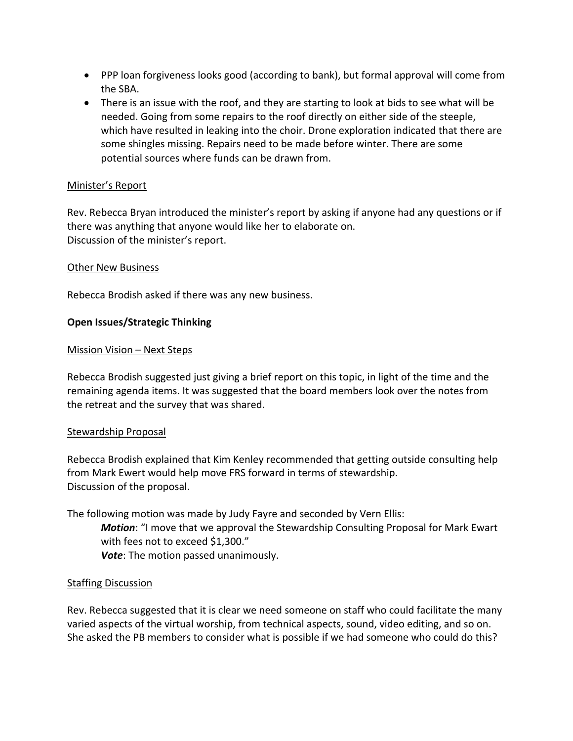- PPP loan forgiveness looks good (according to bank), but formal approval will come from the SBA.
- There is an issue with the roof, and they are starting to look at bids to see what will be needed. Going from some repairs to the roof directly on either side of the steeple, which have resulted in leaking into the choir. Drone exploration indicated that there are some shingles missing. Repairs need to be made before winter. There are some potential sources where funds can be drawn from.

### Minister's Report

Rev. Rebecca Bryan introduced the minister's report by asking if anyone had any questions or if there was anything that anyone would like her to elaborate on. Discussion of the minister's report.

### Other New Business

Rebecca Brodish asked if there was any new business.

### **Open Issues/Strategic Thinking**

### Mission Vision – Next Steps

Rebecca Brodish suggested just giving a brief report on this topic, in light of the time and the remaining agenda items. It was suggested that the board members look over the notes from the retreat and the survey that was shared.

### Stewardship Proposal

Rebecca Brodish explained that Kim Kenley recommended that getting outside consulting help from Mark Ewert would help move FRS forward in terms of stewardship. Discussion of the proposal.

The following motion was made by Judy Fayre and seconded by Vern Ellis:

*Motion*: "I move that we approval the Stewardship Consulting Proposal for Mark Ewart with fees not to exceed \$1,300."

*Vote*: The motion passed unanimously.

### Staffing Discussion

Rev. Rebecca suggested that it is clear we need someone on staff who could facilitate the many varied aspects of the virtual worship, from technical aspects, sound, video editing, and so on. She asked the PB members to consider what is possible if we had someone who could do this?